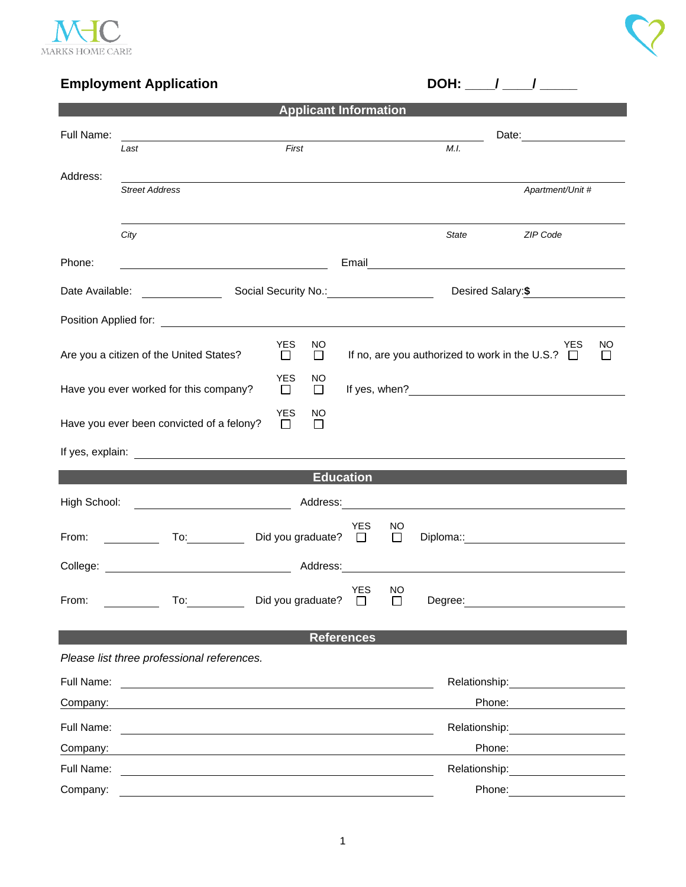

## **Employment Application DOH:** \_\_\_/ \_\_\_\_/ \_\_\_\_\_

| <b>Applicant Information</b>                                                    |                                                                                                                                                                                                                                |                           |                                                                                     |                     |                                                                                                                                                                                                                               |                                                                                                                                                                                                                                |  |  |
|---------------------------------------------------------------------------------|--------------------------------------------------------------------------------------------------------------------------------------------------------------------------------------------------------------------------------|---------------------------|-------------------------------------------------------------------------------------|---------------------|-------------------------------------------------------------------------------------------------------------------------------------------------------------------------------------------------------------------------------|--------------------------------------------------------------------------------------------------------------------------------------------------------------------------------------------------------------------------------|--|--|
| Full Name:                                                                      |                                                                                                                                                                                                                                |                           |                                                                                     |                     |                                                                                                                                                                                                                               |                                                                                                                                                                                                                                |  |  |
|                                                                                 | Last                                                                                                                                                                                                                           | First                     |                                                                                     |                     | M.I.                                                                                                                                                                                                                          |                                                                                                                                                                                                                                |  |  |
| Address:                                                                        | <b>Street Address</b>                                                                                                                                                                                                          |                           |                                                                                     |                     |                                                                                                                                                                                                                               | Apartment/Unit #                                                                                                                                                                                                               |  |  |
|                                                                                 | City                                                                                                                                                                                                                           |                           |                                                                                     |                     | State                                                                                                                                                                                                                         | <b>ZIP Code</b>                                                                                                                                                                                                                |  |  |
| Phone:                                                                          | <u> 1989 - Johann Barn, mars ann an t-Amhain Aonaich an t-Aonaich an t-Aonaich ann an t-Aonaich ann an t-Aonaich</u>                                                                                                           |                           |                                                                                     |                     | Email <u>_________________________________</u>                                                                                                                                                                                |                                                                                                                                                                                                                                |  |  |
|                                                                                 | Date Available: <u>New York National</u>                                                                                                                                                                                       |                           |                                                                                     |                     |                                                                                                                                                                                                                               | Desired Salary:\$                                                                                                                                                                                                              |  |  |
|                                                                                 |                                                                                                                                                                                                                                |                           |                                                                                     |                     |                                                                                                                                                                                                                               |                                                                                                                                                                                                                                |  |  |
| <b>YES</b><br>NO<br>Are you a citizen of the United States?<br>$\Box$<br>$\Box$ |                                                                                                                                                                                                                                |                           | <b>YES</b><br>ΝO<br>If no, are you authorized to work in the U.S.? $\Box$<br>$\Box$ |                     |                                                                                                                                                                                                                               |                                                                                                                                                                                                                                |  |  |
| <b>YES</b><br>Have you ever worked for this company?<br>$\Box$                  |                                                                                                                                                                                                                                | NO<br>$\Box$              |                                                                                     |                     |                                                                                                                                                                                                                               |                                                                                                                                                                                                                                |  |  |
|                                                                                 | Have you ever been convicted of a felony?                                                                                                                                                                                      | YES<br>ΝO<br>П<br>$\perp$ |                                                                                     |                     |                                                                                                                                                                                                                               |                                                                                                                                                                                                                                |  |  |
|                                                                                 |                                                                                                                                                                                                                                |                           |                                                                                     |                     |                                                                                                                                                                                                                               |                                                                                                                                                                                                                                |  |  |
| <b>Education</b>                                                                |                                                                                                                                                                                                                                |                           |                                                                                     |                     |                                                                                                                                                                                                                               |                                                                                                                                                                                                                                |  |  |
| High School:                                                                    |                                                                                                                                                                                                                                |                           |                                                                                     |                     |                                                                                                                                                                                                                               |                                                                                                                                                                                                                                |  |  |
| From:                                                                           | To: and the state of the state of the state of the state of the state of the state of the state of the state of the state of the state of the state of the state of the state of the state of the state of the state of the st | Did you graduate? $\Box$  | YES                                                                                 | <b>NO</b><br>$\Box$ | Diploma:: and the contract of the contract of the contract of the contract of the contract of the contract of the contract of the contract of the contract of the contract of the contract of the contract of the contract of |                                                                                                                                                                                                                                |  |  |
|                                                                                 |                                                                                                                                                                                                                                |                           | Address:                                                                            |                     |                                                                                                                                                                                                                               |                                                                                                                                                                                                                                |  |  |
| From:                                                                           | To:                                                                                                                                                                                                                            | Did you graduate?         | <b>YES</b>                                                                          | NO                  | Degree:                                                                                                                                                                                                                       |                                                                                                                                                                                                                                |  |  |
|                                                                                 |                                                                                                                                                                                                                                |                           | <b>References</b>                                                                   |                     |                                                                                                                                                                                                                               |                                                                                                                                                                                                                                |  |  |
|                                                                                 | Please list three professional references.                                                                                                                                                                                     |                           |                                                                                     |                     |                                                                                                                                                                                                                               |                                                                                                                                                                                                                                |  |  |
| Full Name:                                                                      | <u> 1980 - Jan Stein Stein Stein Stein Stein Stein Stein Stein Stein Stein Stein Stein Stein Stein Stein Stein S</u>                                                                                                           |                           |                                                                                     |                     |                                                                                                                                                                                                                               | Relationship: example and the set of the set of the set of the set of the set of the set of the set of the set of the set of the set of the set of the set of the set of the set of the set of the set of the set of the set o |  |  |
| Company:                                                                        |                                                                                                                                                                                                                                |                           |                                                                                     |                     | Phone:                                                                                                                                                                                                                        |                                                                                                                                                                                                                                |  |  |
| Full Name:                                                                      |                                                                                                                                                                                                                                |                           |                                                                                     |                     | Relationship:                                                                                                                                                                                                                 | <u> 1980 - Jan Barbara Barbara, prima popula</u>                                                                                                                                                                               |  |  |
| Company:                                                                        |                                                                                                                                                                                                                                |                           |                                                                                     |                     | Phone:                                                                                                                                                                                                                        |                                                                                                                                                                                                                                |  |  |
| Full Name:                                                                      |                                                                                                                                                                                                                                |                           |                                                                                     |                     | Relationship:                                                                                                                                                                                                                 |                                                                                                                                                                                                                                |  |  |
| Company:                                                                        |                                                                                                                                                                                                                                |                           |                                                                                     |                     | Phone:                                                                                                                                                                                                                        |                                                                                                                                                                                                                                |  |  |